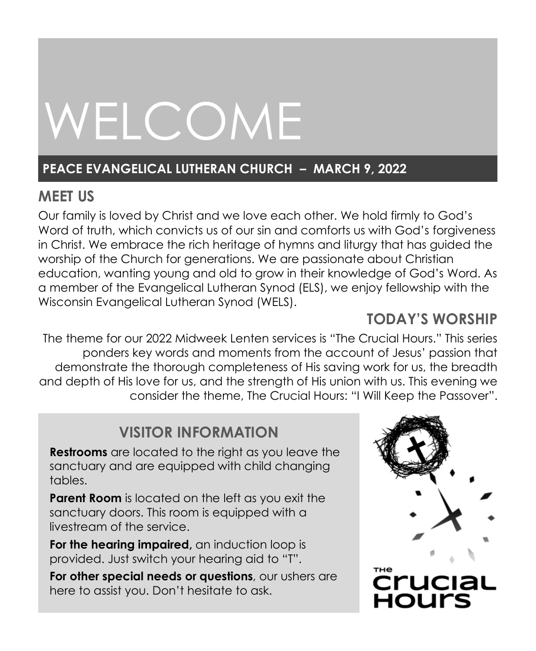# WELCOME

## **PEACE EVANGELICAL LUTHERAN CHURCH – MARCH 9, 2022**

# **MEET US**

Our family is loved by Christ and we love each other. We hold firmly to God's Word of truth, which convicts us of our sin and comforts us with God's forgiveness in Christ. We embrace the rich heritage of hymns and liturgy that has guided the worship of the Church for generations. We are passionate about Christian education, wanting young and old to grow in their knowledge of God's Word. As a member of the Evangelical Lutheran Synod (ELS), we enjoy fellowship with the Wisconsin Evangelical Lutheran Synod (WELS).

# **TODAY'S WORSHIP**

The theme for our 2022 Midweek Lenten services is "The Crucial Hours." This series ponders key words and moments from the account of Jesus' passion that demonstrate the thorough completeness of His saving work for us, the breadth and depth of His love for us, and the strength of His union with us. This evening we consider the theme, The Crucial Hours: "I Will Keep the Passover".

# **VISITOR INFORMATION**

**Restrooms** are located to the right as you leave the sanctuary and are equipped with child changing tables.

**Parent Room** is located on the left as you exit the sanctuary doors. This room is equipped with a livestream of the service.

**For the hearing impaired,** an induction loop is provided. Just switch your hearing aid to "T".

**For other special needs or questions**, our ushers are here to assist you. Don't hesitate to ask.

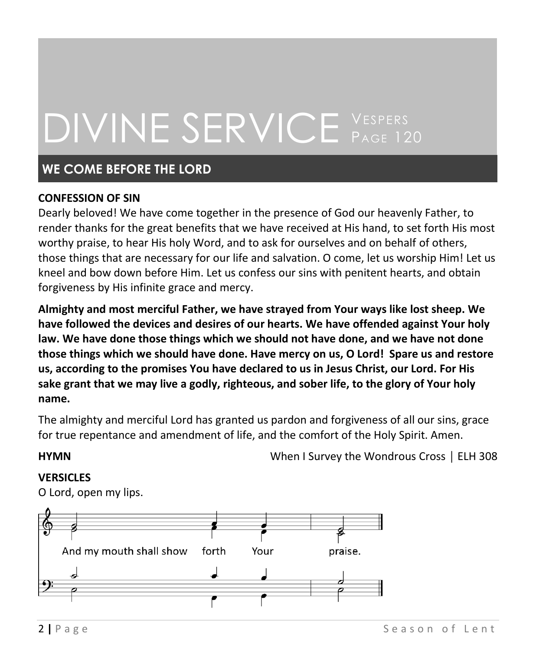# DIVINE SERVICE VESPERS PAGE 120

## **WE COME BEFORE THE LORD**

#### **CONFESSION OF SIN**

Dearly beloved! We have come together in the presence of God our heavenly Father, to render thanks for the great benefits that we have received at His hand, to set forth His most worthy praise, to hear His holy Word, and to ask for ourselves and on behalf of others, those things that are necessary for our life and salvation. O come, let us worship Him! Let us kneel and bow down before Him. Let us confess our sins with penitent hearts, and obtain forgiveness by His infinite grace and mercy.

**Almighty and most merciful Father, we have strayed from Your ways like lost sheep. We have followed the devices and desires of our hearts. We have offended against Your holy law. We have done those things which we should not have done, and we have not done those things which we should have done. Have mercy on us, O Lord! Spare us and restore us, according to the promises You have declared to us in Jesus Christ, our Lord. For His sake grant that we may live a godly, righteous, and sober life, to the glory of Your holy name.**

The almighty and merciful Lord has granted us pardon and forgiveness of all our sins, grace for true repentance and amendment of life, and the comfort of the Holy Spirit. Amen.

**HYMN** When I Survey the Wondrous Cross │ ELH 308

#### **VERSICLES**

O Lord, open my lips.

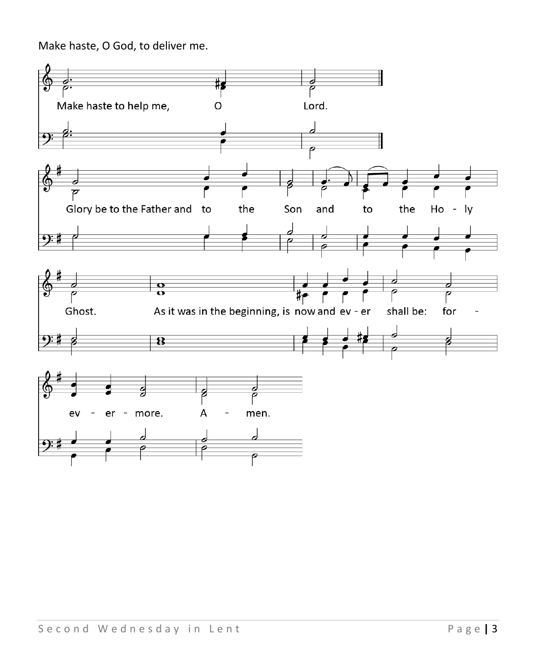Make haste, O God, to deliver me.

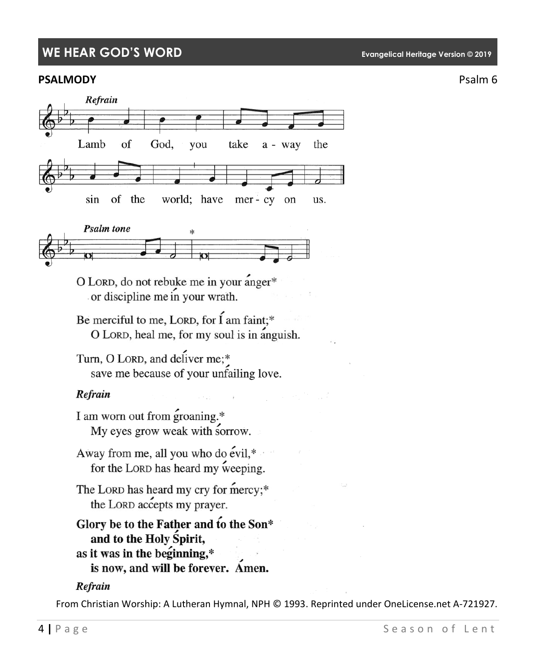### **WE HEAR GOD'S WORD Evangelical Heritage Version © 2019**

#### **PSALMODY** PSALMODY





O LORD, do not rebuke me in your anger\* or discipline me in your wrath.

Be merciful to me, LORD, for I am faint;\* O LORD, heal me, for my soul is in anguish.

Turn, O LORD, and deliver me;\* save me because of your unfailing love.

#### Refrain

I am worn out from groaning.\* My eyes grow weak with sorrow.

Away from me, all you who do evil,\* for the LORD has heard my weeping.

The LORD has heard my cry for mercy;\* the LORD accepts my prayer.

# Glory be to the Father and to the Son\* and to the Holy Spirit, as it was in the beginning,\*

### is now, and will be forever. Amen.

#### Refrain

From Christian Worship: A Lutheran Hymnal, NPH © 1993. Reprinted under OneLicense.net A-721927.

#### **4 | P** a g e Season of Lent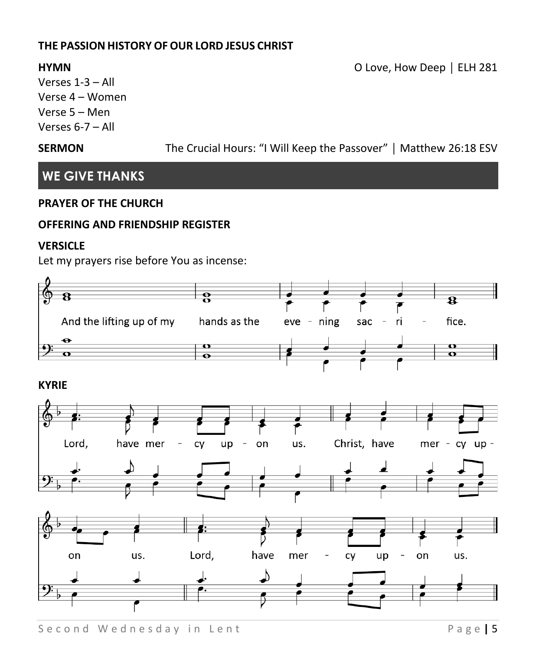#### **THE PASSION HISTORY OFOUR LORD JESUS CHRIST**

Verses 1-3 – All Verse 4 – Women Verse 5 – Men Verses 6-7 – All

**SERMON** The Crucial Hours: "I Will Keep the Passover" | Matthew 26:18 ESV

## **WE GIVE THANKS**

#### **PRAYER OF THE CHURCH**

#### **OFFERING AND FRIENDSHIP REGISTER**

#### **VERSICLE**

Let my prayers rise before You as incense:



S e c o n d W e d n e s d a y in L e n t e s d a y in L e n t s a g e **| 5** 

**HYMN** O Love, How Deep │ ELH 281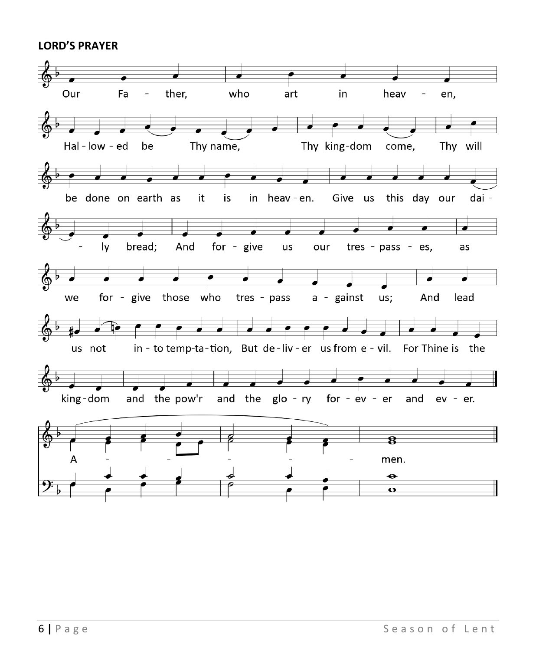#### **LORD'S PRAYER**

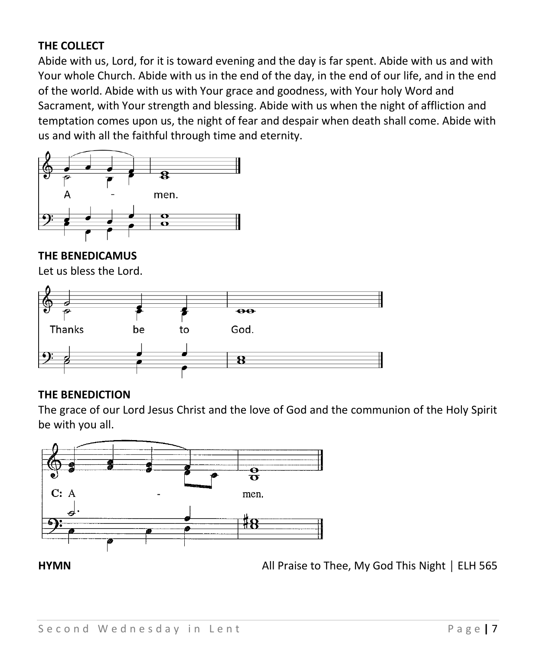#### **THE COLLECT**

Abide with us, Lord, for it is toward evening and the day is far spent. Abide with us and with Your whole Church. Abide with us in the end of the day, in the end of our life, and in the end of the world. Abide with us with Your grace and goodness, with Your holy Word and Sacrament, with Your strength and blessing. Abide with us when the night of affliction and temptation comes upon us, the night of fear and despair when death shall come. Abide with us and with all the faithful through time and eternity.



#### **THE BENEDICAMUS**

Let us bless the Lord.



#### **THE BENEDICTION**

The grace of our Lord Jesus Christ and the love of God and the communion of the Holy Spirit be with you all.



**HYMN All Praise to Thee, My God This Night** | ELH 565